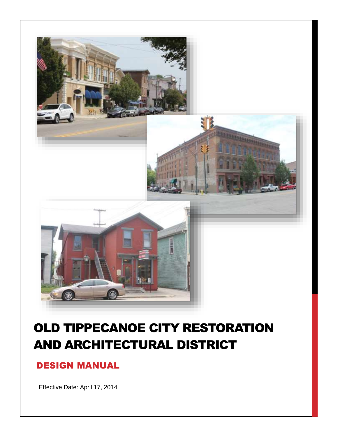

# OLD TIPPECANOE CITY RESTORATION AND ARCHITECTURAL DISTRICT

# DESIGN MANUAL

Effective Date: April 17, 2014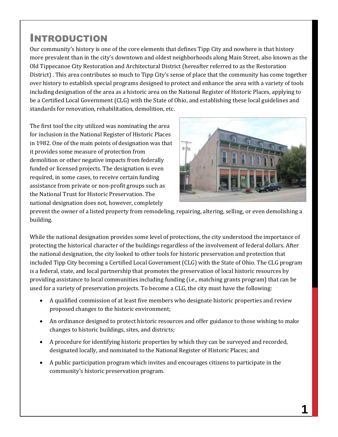# INTRODUCTION

Our community's history is one of the core elements that defines Tipp City and nowhere is that history more prevalent than in the city's downtown and oldest neighborhoods along Main Street, also known as the Old Tippecanoe City Restoration and Architectural District (hereafter referred to as the Restoration District) . This area contributes so much to Tipp City's sense of place that the community has come together over history to establish special programs designed to protect and enhance the area with a variety of tools including designation of the area as a historic area on the National Register of Historic Places, applying to be a Certified Local Government (CLG) with the State of Ohio, and establishing these local guidelines and standards for renovation, rehabilitation, demolition, etc.

The first tool the city utilized was nominating the area for inclusion in the National Register of Historic Places in 1982. One of the main points of designation was that it provides some measure of protection from demolition or other negative impacts from federally funded or licensed projects. The designation is even required, in some cases, to receive certain funding assistance from private or non-profit groups such as the National Trust for Historic Preservation. The national designation does not, however, completely



prevent the owner of a listed property from remodeling, repairing, altering, selling, or even demolishing a building.

While the national designation provides some level of protections, the city understood the importance of protecting the historical character of the buildings regardless of the involvement of federal dollars. After the national designation, the city looked to other tools for historic preservation and protection that included Tipp City becoming a Certified Local Government (CLG) with the State of Ohio. The CLG program is a federal, state, and local partnership that promotes the preservation of local historic resources by providing assistance to local communities including funding (i.e., matching grants program) that can be used for a variety of preservation projects. To become a CLG, the city must have the following:

- A qualified commission of at least five members who designate historic properties and review proposed changes to the historic environment;
- An ordinance designed to protect historic resources and offer guidance to those wishing to make changes to historic buildings, sites, and districts;
- A procedure for identifying historic properties by which they can be surveyed and recorded, designated locally, and nominated to the National Register of Historic Places; and
- A public participation program which invites and encourages citizens to participate in the community's historic preservation program.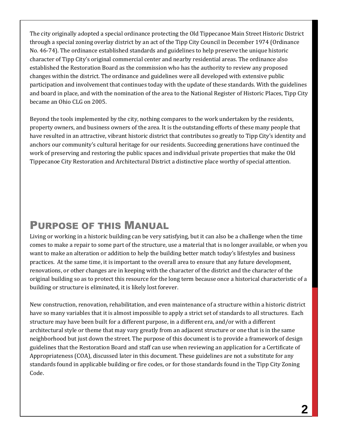The city originally adopted a special ordinance protecting the Old Tippecanoe Main Street Historic District through a special zoning overlay district by an act of the Tipp City Council in December 1974 (Ordinance No. 46-74). The ordinance established standards and guidelines to help preserve the unique historic character of Tipp City's original commercial center and nearby residential areas. The ordinance also established the Restoration Board as the commission who has the authority to review any proposed changes within the district. The ordinance and guidelines were all developed with extensive public participation and involvement that continues today with the update of these standards. With the guidelines and board in place, and with the nomination of the area to the National Register of Historic Places, Tipp City became an Ohio CLG on 2005.

Beyond the tools implemented by the city, nothing compares to the work undertaken by the residents, property owners, and business owners of the area. It is the outstanding efforts of these many people that have resulted in an attractive, vibrant historic district that contributes so greatly to Tipp City's identity and anchors our community's cultural heritage for our residents. Succeeding generations have continued the work of preserving and restoring the public spaces and individual private properties that make the Old Tippecanoe City Restoration and Architectural District a distinctive place worthy of special attention.

# PURPOSE OF THIS MANUAL

Living or working in a historic building can be very satisfying, but it can also be a challenge when the time comes to make a repair to some part of the structure, use a material that is no longer available, or when you want to make an alteration or addition to help the building better match today's lifestyles and business practices. At the same time, it is important to the overall area to ensure that any future development, renovations, or other changes are in keeping with the character of the district and the character of the original building so as to protect this resource for the long term because once a historical characteristic of a building or structure is eliminated, it is likely lost forever.

New construction, renovation, rehabilitation, and even maintenance of a structure within a historic district have so many variables that it is almost impossible to apply a strict set of standards to all structures. Each structure may have been built for a different purpose, in a different era, and/or with a different architectural style or theme that may vary greatly from an adjacent structure or one that is in the same neighborhood but just down the street. The purpose of this document is to provide a framework of design guidelines that the Restoration Board and staff can use when reviewing an application for a Certificate of Appropriateness (COA), discussed later in this document. These guidelines are not a substitute for any standards found in applicable building or fire codes, or for those standards found in the Tipp City Zoning Code.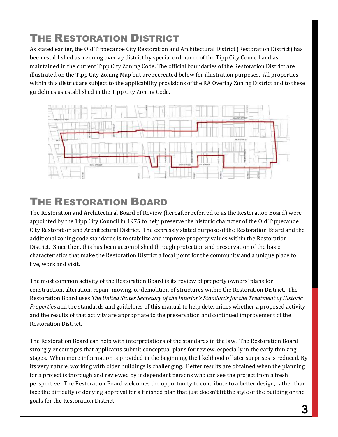# THE RESTORATION DISTRICT

As stated earlier, the Old Tippecanoe City Restoration and Architectural District (Restoration District) has been established as a zoning overlay district by special ordinance of the Tipp City Council and as maintained in the current Tipp City Zoning Code. The official boundaries of the Restoration District are illustrated on the Tipp City Zoning Map but are recreated below for illustration purposes. All properties within this district are subject to the applicability provisions of the RA Overlay Zoning District and to these guidelines as established in the Tipp City Zoning Code.



# THE RESTORATION BOARD

The Restoration and Architectural Board of Review (hereafter referred to as the Restoration Board) were appointed by the Tipp City Council in 1975 to help preserve the historic character of the Old Tippecanoe City Restoration and Architectural District. The expressly stated purpose of the Restoration Board and the additional zoning code standards is to stabilize and improve property values within the Restoration District. Since then, this has been accomplished through protection and preservation of the basic characteristics that make the Restoration District a focal point for the community and a unique place to live, work and visit.

The most common activity of the Restoration Board is its review of property owners' plans for construction, alteration, repair, moving, or demolition of structures within the Restoration District. The Restoration Board uses *The United States Secretary of the Interior's Standards for the Treatment of Historic Properties* and the standards and guidelines of this manual to help determines whether a proposed activity and the results of that activity are appropriate to the preservation and continued improvement of the Restoration District.

The Restoration Board can help with interpretations of the standards in the law. The Restoration Board strongly encourages that applicants submit conceptual plans for review, especially in the early thinking stages. When more information is provided in the beginning, the likelihood of later surprises is reduced. By its very nature, working with older buildings is challenging. Better results are obtained when the planning for a project is thorough and reviewed by independent persons who can see the project from a fresh perspective. The Restoration Board welcomes the opportunity to contribute to a better design, rather than face the difficulty of denying approval for a finished plan that just doesn't fit the style of the building or the goals for the Restoration District.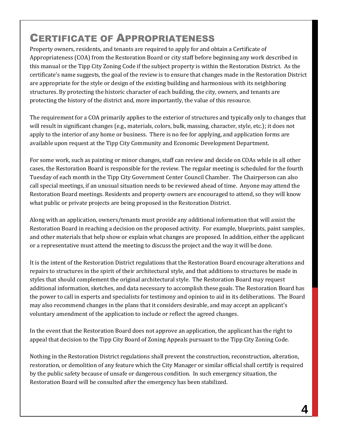# CERTIFICATE OF APPROPRIATENESS

Property owners, residents, and tenants are required to apply for and obtain a Certificate of Appropriateness (COA) from the Restoration Board or city staff before beginning any work described in this manual or the Tipp City Zoning Code if the subject property is within the Restoration District. As the certificate's name suggests, the goal of the review is to ensure that changes made in the Restoration District are appropriate for the style or design of the existing building and harmonious with its neighboring structures. By protecting the historic character of each building, the city, owners, and tenants are protecting the history of the district and, more importantly, the value of this resource.

The requirement for a COA primarily applies to the exterior of structures and typically only to changes that will result in significant changes (e.g., materials, colors, bulk, massing, character, style, etc.); it does not apply to the interior of any home or business. There is no fee for applying, and application forms are available upon request at the Tipp City Community and Economic Development Department.

For some work, such as painting or minor changes, staff can review and decide on COAs while in all other cases, the Restoration Board is responsible for the review. The regular meeting is scheduled for the fourth Tuesday of each month in the Tipp City Government Center Council Chamber. The Chairperson can also call special meetings, if an unusual situation needs to be reviewed ahead of time. Anyone may attend the Restoration Board meetings. Residents and property owners are encouraged to attend, so they will know what public or private projects are being proposed in the Restoration District.

Along with an application, owners/tenants must provide any additional information that will assist the Restoration Board in reaching a decision on the proposed activity. For example, blueprints, paint samples, and other materials that help show or explain what changes are proposed. In addition, either the applicant or a representative must attend the meeting to discuss the project and the way it will be done.

It is the intent of the Restoration District regulations that the Restoration Board encourage alterations and repairs to structures in the spirit of their architectural style, and that additions to structures be made in styles that should complement the original architectural style. The Restoration Board may request additional information, sketches, and data necessary to accomplish these goals. The Restoration Board has the power to call in experts and specialists for testimony and opinion to aid in its deliberations. The Board may also recommend changes in the plans that it considers desirable, and may accept an applicant's voluntary amendment of the application to include or reflect the agreed changes.

In the event that the Restoration Board does not approve an application, the applicant has the right to appeal that decision to the Tipp City Board of Zoning Appeals pursuant to the Tipp City Zoning Code.

Nothing in the Restoration District regulations shall prevent the construction, reconstruction, alteration, restoration, or demolition of any feature which the City Manager or similar official shall certify is required by the public safety because of unsafe or dangerous condition. In such emergency situation, the Restoration Board will be consulted after the emergency has been stabilized.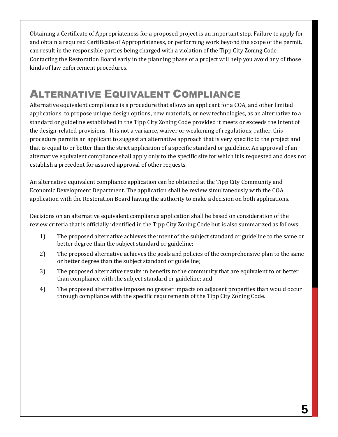Obtaining a Certificate of Appropriateness for a proposed project is an important step. Failure to apply for and obtain a required Certificate of Appropriateness, or performing work beyond the scope of the permit, can result in the responsible parties being charged with a violation of the Tipp City Zoning Code. Contacting the Restoration Board early in the planning phase of a project will help you avoid any of those kinds of law enforcement procedures.

# ALTERNATIVE EQUIVALENT COMPLIANCE

Alternative equivalent compliance is a procedure that allows an applicant for a COA, and other limited applications, to propose unique design options, new materials, or new technologies, as an alternative to a standard or guideline established in the Tipp City Zoning Code provided it meets or exceeds the intent of the design-related provisions. It is not a variance, waiver or weakening of regulations; rather, this procedure permits an applicant to suggest an alternative approach that is very specific to the project and that is equal to or better than the strict application of a specific standard or guideline. An approval of an alternative equivalent compliance shall apply only to the specific site for which it is requested and does not establish a precedent for assured approval of other requests.

An alternative equivalent compliance application can be obtained at the Tipp City Community and Economic Development Department. The application shall be review simultaneously with the COA application with the Restoration Board having the authority to make a decision on both applications.

Decisions on an alternative equivalent compliance application shall be based on consideration of the review criteria that is officially identified in the Tipp City Zoning Code but is also summarized as follows:

- 1) The proposed alternative achieves the intent of the subject standard or guideline to the same or better degree than the subject standard or guideline;
- 2) The proposed alternative achieves the goals and policies of the comprehensive plan to the same or better degree than the subject standard or guideline;
- 3) The proposed alternative results in benefits to the community that are equivalent to or better than compliance with the subject standard or guideline; and
- 4) The proposed alternative imposes no greater impacts on adjacent properties than would occur through compliance with the specific requirements of the Tipp City Zoning Code.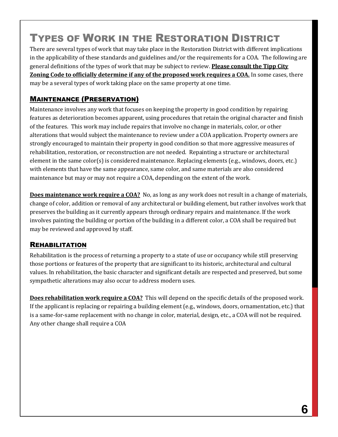# TYPES OF WORK IN THE RESTORATION DISTRICT

There are several types of work that may take place in the Restoration District with different implications in the applicability of these standards and guidelines and/or the requirements for a COA. The following are general definitions of the types of work that may be subject to review. **Please consult the Tipp City Zoning Code to officially determine if any of the proposed work requires a COA.** In some cases, there may be a several types of work taking place on the same property at one time.

# MAINTENANCE (PRESERVATION)

Maintenance involves any work that focuses on keeping the property in good condition by repairing features as deterioration becomes apparent, using procedures that retain the original character and finish of the features. This work may include repairs that involve no change in materials, color, or other alterations that would subject the maintenance to review under a COA application. Property owners are strongly encouraged to maintain their property in good condition so that more aggressive measures of rehabilitation, restoration, or reconstruction are not needed. Repainting a structure or architectural element in the same color(s) is considered maintenance. Replacing elements (e.g., windows, doors, etc.) with elements that have the same appearance, same color, and same materials are also considered maintenance but may or may not require a COA, depending on the extent of the work.

**Does maintenance work require a COA?** No, as long as any work does not result in a change of materials, change of color, addition or removal of any architectural or building element, but rather involves work that preserves the building as it currently appears through ordinary repairs and maintenance. If the work involves painting the building or portion of the building in a different color, a COA shall be required but may be reviewed and approved by staff.

#### REHABILITATION

Rehabilitation is the process of returning a property to a state of use or occupancy while still preserving those portions or features of the property that are significant to its historic, architectural and cultural values. In rehabilitation, the basic character and significant details are respected and preserved, but some sympathetic alterations may also occur to address modern uses.

**Does rehabilitation work require a COA?** This will depend on the specific details of the proposed work. If the applicant is replacing or repairing a building element (e.g., windows, doors, ornamentation, etc.) that is a same-for-same replacement with no change in color, material, design, etc., a COA will not be required. Any other change shall require a COA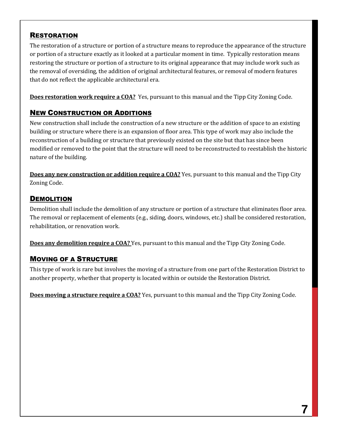### **RESTORATION**

The restoration of a structure or portion of a structure means to reproduce the appearance of the structure or portion of a structure exactly as it looked at a particular moment in time. Typically restoration means restoring the structure or portion of a structure to its original appearance that may include work such as the removal of oversiding, the addition of original architectural features, or removal of modern features that do not reflect the applicable architectural era.

**Does restoration work require a COA?** Yes, pursuant to this manual and the Tipp City Zoning Code.

# NEW CONSTRUCTION OR ADDITIONS

New construction shall include the construction of a new structure or the addition of space to an existing building or structure where there is an expansion of floor area. This type of work may also include the reconstruction of a building or structure that previously existed on the site but that has since been modified or removed to the point that the structure will need to be reconstructed to reestablish the historic nature of the building.

**Does any new construction or addition require a COA?** Yes, pursuant to this manual and the Tipp City Zoning Code.

### **DEMOLITION**

Demolition shall include the demolition of any structure or portion of a structure that eliminates floor area. The removal or replacement of elements (e.g., siding, doors, windows, etc.) shall be considered restoration, rehabilitation, or renovation work.

**Does any demolition require a COA?** Yes, pursuant to this manual and the Tipp City Zoning Code.

# MOVING OF A STRUCTURE

This type of work is rare but involves the moving of a structure from one part of the Restoration District to another property, whether that property is located within or outside the Restoration District.

**Does moving a structure require a COA?** Yes, pursuant to this manual and the Tipp City Zoning Code.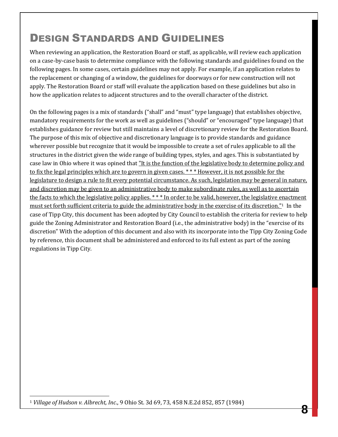# DESIGN STANDARDS AND GUIDELINES

When reviewing an application, the Restoration Board or staff, as applicable, will review each application on a case-by-case basis to determine compliance with the following standards and guidelines found on the following pages. In some cases, certain guidelines may not apply. For example, if an application relates to the replacement or changing of a window, the guidelines for doorways or for new construction will not apply. The Restoration Board or staff will evaluate the application based on these guidelines but also in how the application relates to adjacent structures and to the overall character of the district.

On the following pages is a mix of standards ("shall" and "must" type language) that establishes objective, mandatory requirements for the work as well as guidelines ("should" or "encouraged" type language) that establishes guidance for review but still maintains a level of discretionary review for the Restoration Board. The purpose of this mix of objective and discretionary language is to provide standards and guidance wherever possible but recognize that it would be impossible to create a set of rules applicable to all the structures in the district given the wide range of building types, styles, and ages. This is substantiated by case law in Ohio where it was opined that "It is the function of the legislative body to determine policy and to fix the legal principles which are to govern in given cases. \* \* \* However, it is not possible for the legislature to design a rule to fit every potential circumstance. As such, legislation may be general in nature, and discretion may be given to an administrative body to make subordinate rules, as well as to ascertain the facts to which the legislative policy applies. \*\*\* In order to be valid, however, the legislative enactment must set forth sufficient criteria to guide the administrative body in the exercise of its discretion."<sup>1</sup> In the case of Tipp City, this document has been adopted by City Council to establish the criteria for review to help guide the Zoning Administrator and Restoration Board (i.e., the administrative body) in the "exercise of its discretion" With the adoption of this document and also with its incorporate into the Tipp City Zoning Code by reference, this document shall be administered and enforced to its full extent as part of the zoning regulations in Tipp City.

 $\overline{a}$ <sup>1</sup> *Village of Hudson v. Albrecht, Inc*., 9 Ohio St. 3d 69, 73, 458 N.E.2d 852, 857 (1984)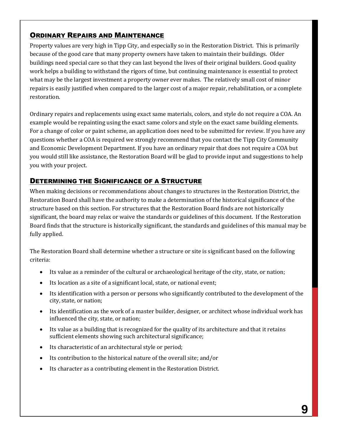### ORDINARY REPAIRS AND MAINTENANCE

Property values are very high in Tipp City, and especially so in the Restoration District. This is primarily because of the good care that many property owners have taken to maintain their buildings. Older buildings need special care so that they can last beyond the lives of their original builders. Good quality work helps a building to withstand the rigors of time, but continuing maintenance is essential to protect what may be the largest investment a property owner ever makes. The relatively small cost of minor repairs is easily justified when compared to the larger cost of a major repair, rehabilitation, or a complete restoration.

Ordinary repairs and replacements using exact same materials, colors, and style do not require a COA. An example would be repainting using the exact same colors and style on the exact same building elements. For a change of color or paint scheme, an application does need to be submitted for review. If you have any questions whether a COA is required we strongly recommend that you contact the Tipp City Community and Economic Development Department. If you have an ordinary repair that does not require a COA but you would still like assistance, the Restoration Board will be glad to provide input and suggestions to help you with your project.

### DETERMINING THE SIGNIFICANCE OF A STRUCTURE

When making decisions or recommendations about changes to structures in the Restoration District, the Restoration Board shall have the authority to make a determination of the historical significance of the structure based on this section. For structures that the Restoration Board finds are not historically significant, the board may relax or waive the standards or guidelines of this document. If the Restoration Board finds that the structure is historically significant, the standards and guidelines of this manual may be fully applied.

The Restoration Board shall determine whether a structure or site is significant based on the following criteria:

- Its value as a reminder of the cultural or archaeological heritage of the city, state, or nation;
- Its location as a site of a significant local, state, or national event;
- Its identification with a person or persons who significantly contributed to the development of the city, state, or nation;
- Its identification as the work of a master builder, designer, or architect whose individual work has influenced the city, state, or nation;
- Its value as a building that is recognized for the quality of its architecture and that it retains sufficient elements showing such architectural significance;
- Its characteristic of an architectural style or period;
- Its contribution to the historical nature of the overall site; and/or
- Its character as a contributing element in the Restoration District.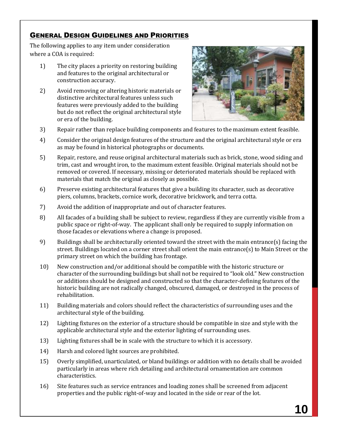### GENERAL DESIGN GUIDELINES AND PRIORITIES

The following applies to any item under consideration where a COA is required:

- 1) The city places a priority on restoring building and features to the original architectural or construction accuracy.
- 2) Avoid removing or altering historic materials or distinctive architectural features unless such features were previously added to the building but do not reflect the original architectural style or era of the building.



- 3) Repair rather than replace building components and features to the maximum extent feasible.
- 4) Consider the original design features of the structure and the original architectural style or era as may be found in historical photographs or documents.
- 5) Repair, restore, and reuse original architectural materials such as brick, stone, wood siding and trim, cast and wrought iron, to the maximum extent feasible. Original materials should not be removed or covered. If necessary, missing or deteriorated materials should be replaced with materials that match the original as closely as possible.
- 6) Preserve existing architectural features that give a building its character, such as decorative piers, columns, brackets, cornice work, decorative brickwork, and terra cotta.
- 7) Avoid the addition of inappropriate and out of character features.
- 8) All facades of a building shall be subject to review, regardless if they are currently visible from a public space or right-of-way. The applicant shall only be required to supply information on those facades or elevations where a change is proposed.
- 9) Buildings shall be architecturally oriented toward the street with the main entrance(s) facing the street. Buildings located on a corner street shall orient the main entrance(s) to Main Street or the primary street on which the building has frontage.
- 10) New construction and/or additional should be compatible with the historic structure or character of the surrounding buildings but shall not be required to "look old." New construction or additions should be designed and constructed so that the character-defining features of the historic building are not radically changed, obscured, damaged, or destroyed in the process of rehabilitation.
- 11) Building materials and colors should reflect the characteristics of surrounding uses and the architectural style of the building.
- 12) Lighting fixtures on the exterior of a structure should be compatible in size and style with the applicable architectural style and the exterior lighting of surrounding uses.
- 13) Lighting fixtures shall be in scale with the structure to which it is accessory.
- 14) Harsh and colored light sources are prohibited.
- 15) Overly simplified, unarticulated, or bland buildings or addition with no details shall be avoided particularly in areas where rich detailing and architectural ornamentation are common characteristics.
- 16) Site features such as service entrances and loading zones shall be screened from adjacent properties and the public right-of-way and located in the side or rear of the lot.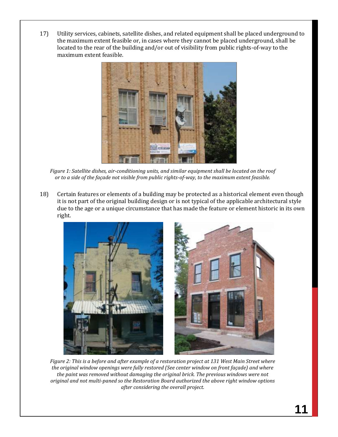17) Utility services, cabinets, satellite dishes, and related equipment shall be placed underground to the maximum extent feasible or, in cases where they cannot be placed underground, shall be located to the rear of the building and/or out of visibility from public rights-of-way to the maximum extent feasible.



*Figure 1: Satellite dishes, air-conditioning units, and similar equipment shall be located on the roof or to a side of the façade not visible from public rights-of-way, to the maximum extent feasible.*

18) Certain features or elements of a building may be protected as a historical element even though it is not part of the original building design or is not typical of the applicable architectural style due to the age or a unique circumstance that has made the feature or element historic in its own right.



*Figure 2: This is a before and after example of a restoration project at 131 West Main Street where the original window openings were fully restored (See center window on front façade) and where the paint was removed without damaging the original brick. The previous windows were not original and not multi-paned so the Restoration Board authorized the above right window options after considering the overall project.*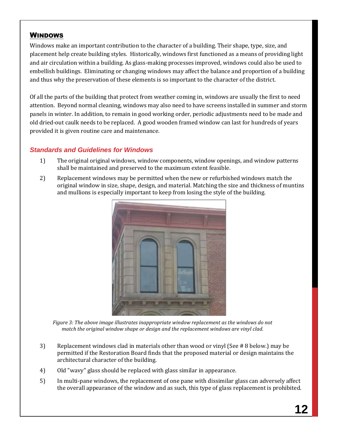#### WINDOWS

Windows make an important contribution to the character of a building. Their shape, type, size, and placement help create building styles. Historically, windows first functioned as a means of providing light and air circulation within a building. As glass-making processes improved, windows could also be used to embellish buildings. Eliminating or changing windows may affect the balance and proportion of a building and thus why the preservation of these elements is so important to the character of the district.

Of all the parts of the building that protect from weather coming in, windows are usually the first to need attention. Beyond normal cleaning, windows may also need to have screens installed in summer and storm panels in winter. In addition, to remain in good working order, periodic adjustments need to be made and old dried-out caulk needs to be replaced. A good wooden framed window can last for hundreds of years provided it is given routine care and maintenance.

#### *Standards and Guidelines for Windows*

- 1) The original original windows, window components, window openings, and window patterns shall be maintained and preserved to the maximum extent feasible.
- 2) Replacement windows may be permitted when the new or refurbished windows match the original window in size, shape, design, and material. Matching the size and thickness of muntins and mullions is especially important to keep from losing the style of the building.



*Figure 3: The above image illustrates inappropriate window replacement as the windows do not match the original window shape or design and the replacement windows are vinyl clad.* 

- 3) Replacement windows clad in materials other than wood or vinyl (See # 8 below.) may be permitted if the Restoration Board finds that the proposed material or design maintains the architectural character of the building.
- 4) Old "wavy" glass should be replaced with glass similar in appearance.
- 5) In multi-pane windows, the replacement of one pane with dissimilar glass can adversely affect the overall appearance of the window and as such, this type of glass replacement is prohibited.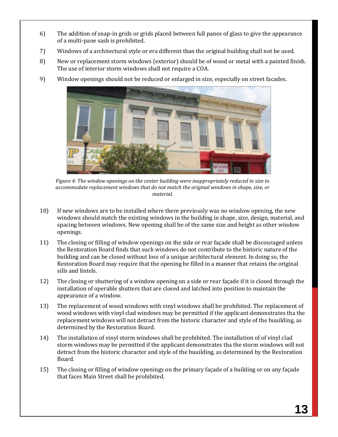- 6) The addition of snap-in grids or grids placed between full panes of glass to give the appearance of a multi-pane sash is prohibited.
- 7) Windows of a architectural style or era different than the original building shall not be used.
- 8) New or replacement storm windows (exterior) should be of wood or metal with a painted finish. The use of interior storm windows shall not require a COA.
- 9) Window openings should not be reduced or enlarged in size, especially on street facades.



*Figure 4: The window openings on the center building were inappropriately reduced in size to accommodate replacement windows that do not match the original windows in shape, size, or material.*

- 10) If new windows are to be installed where there previously was no window opening, the new windows should match the existing windows in the building in shape, size, design, material, and spacing between windows. New opening shall be of the same size and height as other window openings.
- 11) The closing or filling of window openings on the side or rear façade shall be discouraged unless the Restoration Board finds that such windows do not contribute to the historic nature of the building and can be closed without loss of a unique architectural element. In doing so, the Restoration Board may require that the opening be filled in a manner that retains the original sills and lintels.
- 12) The closing or shuttering of a window opening on a side or rear façade if it is closed through the installation of operable shutters that are closed and latched into position to maintain the appearance of a window.
- 13) The replacement of wood windows with vinyl windows shall be prohibited. The replacement of wood windows with vinyl clad windows may be permitted if the applicant demonstrates tha the replacement windows will not detract from the historic character and style of the buuilding, as determined by the Restoration Board.
- 14) The installation of vinyl storm windows shall be prohibited. The installation of of vinyl clad storm windows may be permitted if the applicant demonstrates tha the storm windows will not detract from the historic character and style of the buuilding, as determined by the Restoration Board.
- 15) The closing or filling of window openings on the primary façade of a building or on any façade that faces Main Street shall be prohibited.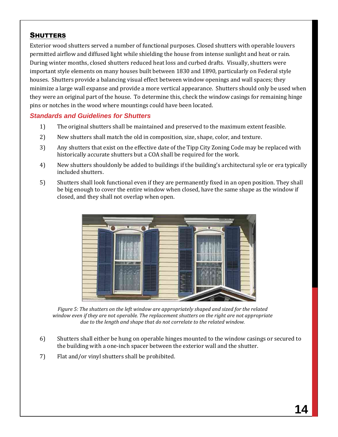#### **SHUTTERS**

Exterior wood shutters served a number of functional purposes. Closed shutters with operable louvers permitted airflow and diffused light while shielding the house from intense sunlight and heat or rain. During winter months, closed shutters reduced heat loss and curbed drafts. Visually, shutters were important style elements on many houses built between 1830 and 1890, particularly on Federal style houses. Shutters provide a balancing visual effect between window openings and wall spaces; they minimize a large wall expanse and provide a more vertical appearance. Shutters should only be used when they were an original part of the house. To determine this, check the window casings for remaining hinge pins or notches in the wood where mountings could have been located.

#### *Standards and Guidelines for Shutters*

- 1) The original shutters shall be maintained and preserved to the maximum extent feasible.
- 2) New shutters shall match the old in composition, size, shape, color, and texture.
- 3) Any shutters that exist on the effective date of the Tipp City Zoning Code may be replaced with historically accurate shutters but a COA shall be required for the work.
- 4) New shutters shouldonly be added to buildings if the building's architectural syle or era typically included shutters.
- 5) Shutters shall look functional even if they are permanently fixed in an open position. They shall be big enough to cover the entire window when closed, have the same shape as the window if closed, and they shall not overlap when open.



*Figure 5: The shutters on the left window are appropriately shaped and sized for the related window even if they are not operable. The replacement shutters on the right are not appropriate due to the length and shape that do not correlate to the related window.* 

- 6) Shutters shall either be hung on operable hinges mounted to the window casings or secured to the building with a one-inch spacer between the exterior wall and the shutter.
- 7) Flat and/or vinyl shutters shall be prohibited.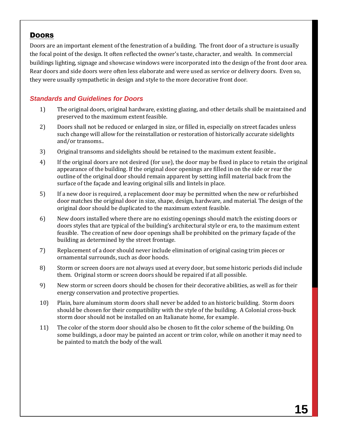# **DOORS**

Doors are an important element of the fenestration of a building. The front door of a structure is usually the focal point of the design. It often reflected the owner's taste, character, and wealth. In commercial buildings lighting, signage and showcase windows were incorporated into the design of the front door area. Rear doors and side doors were often less elaborate and were used as service or delivery doors. Even so, they were usually sympathetic in design and style to the more decorative front door.

# *Standards and Guidelines for Doors*

- 1) The original doors, original hardware, existing glazing, and other details shall be maintained and preserved to the maximum extent feasible.
- 2) Doors shall not be reduced or enlarged in size, or filled in, especially on street facades unless such change will allow for the reinstallation or restoration of historically accurate sidelights and/or transoms..
- 3) Original transoms and sidelights should be retained to the maximum extent feasible..
- 4) If the original doors are not desired (for use), the door may be fixed in place to retain the original appearance of the building. If the original door openings are filled in on the side or rear the outline of the original door should remain apparent by setting infill material back from the surface of the façade and leaving original sills and lintels in place.
- 5) If a new door is required, a replacement door may be permitted when the new or refurbished door matches the original door in size, shape, design, hardware, and material. The design of the original door should be duplicated to the maximum extent feasible.
- 6) New doors installed where there are no existing openings should match the existing doors or doors styles that are typical of the building's architectural style or era, to the maximum extent feasible. The creation of new door openings shall be prohibited on the primary façade of the building as determined by the street frontage.
- 7) Replacement of a door should never include elimination of original casing trim pieces or ornamental surrounds, such as door hoods.
- 8) Storm or screen doors are not always used at every door, but some historic periods did include them. Original storm or screen doors should be repaired if at all possible.
- 9) New storm or screen doors should be chosen for their decorative abilities, as well as for their energy conservation and protective properties.
- 10) Plain, bare aluminum storm doors shall never be added to an historic building. Storm doors should be chosen for their compatibility with the style of the building. A Colonial cross-buck storm door should not be installed on an Italianate home, for example.
- 11) The color of the storm door should also be chosen to fit the color scheme of the building. On some buildings, a door may be painted an accent or trim color, while on another it may need to be painted to match the body of the wall.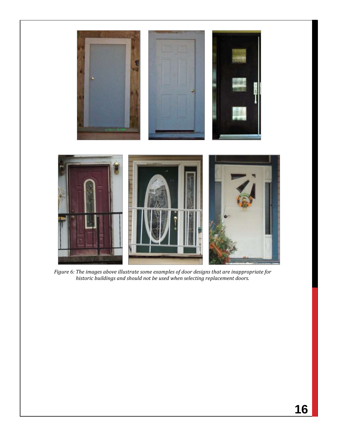

*Figure 6: The images above illustrate some examples of door designs that are inappropriate for historic buildings and should not be used when selecting replacement doors.*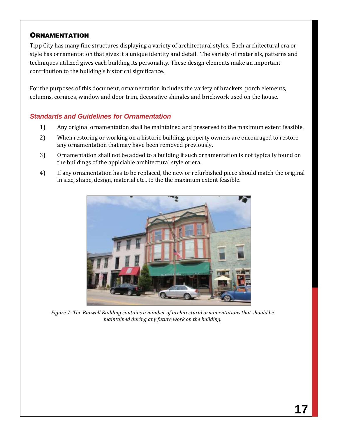#### **ORNAMENTATION**

Tipp City has many fine structures displaying a variety of architectural styles. Each architectural era or style has ornamentation that gives it a unique identity and detail. The variety of materials, patterns and techniques utilized gives each building its personality. These design elements make an important contribution to the building's historical significance.

For the purposes of this document, ornamentation includes the variety of brackets, porch elements, columns, cornices, window and door trim, decorative shingles and brickwork used on the house.

#### *Standards and Guidelines for Ornamentation*

- 1) Any original ornamentation shall be maintained and preserved to the maximum extent feasible.
- 2) When restoring or working on a historic building, property owners are encouraged to restore any ornamentation that may have been removed previously.
- 3) Ornamentation shall not be added to a building if such ornamentation is not typically found on the buildings of the applciable architectural style or era.
- 4) If any ornamentation has to be replaced, the new or refurbished piece should match the original in size, shape, design, material etc., to the the maximum extent feasible.



*Figure 7: The Burwell Building contains a number of architectural ornamentations that should be maintained during any future work on the building.*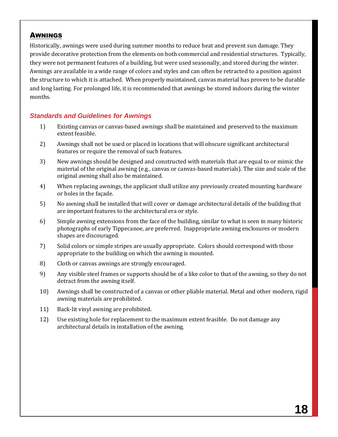#### AWNINGS

Historically, awnings were used during summer months to reduce heat and prevent sun damage. They provide decorative protection from the elements on both commercial and residential structures. Typically, they were not permanent features of a building, but were used seasonally, and stored during the winter. Awnings are available in a wide range of colors and styles and can often be retracted to a position against the structure to which it is attached. When properly maintained, canvas material has proven to be durable and long lasting. For prolonged life, it is recommended that awnings be stored indoors during the winter months.

#### *Standards and Guidelines for Awnings*

- 1) Existing canvas or canvas-based awnings shall be maintained and preserved to the maximum extent feasible.
- 2) Awnings shall not be used or placed in locations that will obscure significant architectural features or require the removal of such features.
- 3) New awnings should be designed and constructed with materials that are equal to or mimic the material of the original awning (e.g., canvas or canvas-based materials). The size and scale of the original awning shall also be maintained.
- 4) When replacing awnings, the applicant shall utilize any previously created mounting hardware or holes in the façade.
- 5) No awning shall be installed that will cover or damage architectural details of the building that are important features to the architectural era or style.
- 6) Simple awning extensions from the face of the building, similar to what is seen in many historic photographs of early Tippecanoe, are preferred. Inappropriate awning enclosures or modern shapes are discouraged.
- 7) Solid colors or simple stripes are usually appropriate. Colors should correspond with those appropriate to the building on which the awning is mounted.
- 8) Cloth or canvas awnings are strongly encouraged.
- 9) Any visible steel frames or supports should be of a like color to that of the awning, so they do not detract from the awning itself.
- 10) Awnings shall be constructed of a canvas or other pliable material. Metal and other modern, rigid awning materials are prohibited.
- 11) Back-lit vinyl awning are prohibited.
- 12) Use existing hole for replacement to the maximum extent feasible. Do not damage any architectural details in installation of the awning.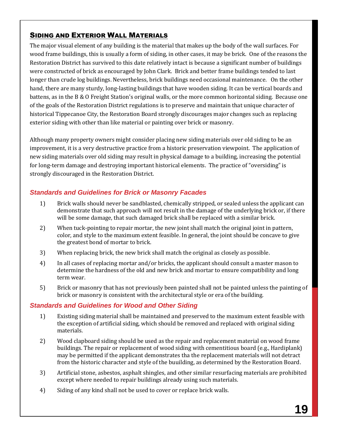### SIDING AND EXTERIOR WALL MATERIALS

The major visual element of any building is the material that makes up the body of the wall surfaces. For wood frame buildings, this is usually a form of siding, in other cases, it may be brick. One of the reasons the Restoration District has survived to this date relatively intact is because a significant number of buildings were constructed of brick as encouraged by John Clark. Brick and better frame buildings tended to last longer than crude log buildings. Nevertheless, brick buildings need occasional maintenance. On the other hand, there are many sturdy, long-lasting buildings that have wooden siding. It can be vertical boards and battens, as in the B & O Freight Station's original walls, or the more common horizontal siding. Because one of the goals of the Restoration District regulations is to preserve and maintain that unique character of historical Tippecanoe City, the Restoration Board strongly discourages major changes such as replacing exterior siding with other than like material or painting over brick or masonry.

Although many property owners might consider placing new siding materials over old siding to be an improvement, it is a very destructive practice from a historic preservation viewpoint. The application of new siding materials over old siding may result in physical damage to a building, increasing the potential for long-term damage and destroying important historical elements. The practice of "oversiding" is strongly discouraged in the Restoration District.

# *Standards and Guidelines for Brick or Masonry Facades*

- 1) Brick walls should never be sandblasted, chemically stripped, or sealed unless the applicant can demonstrate that such approach will not result in the damage of the underlying brick or, if there will be some damage, that such damaged brick shall be replaced with a similar brick.
- 2) When tuck-pointing to repair mortar, the new joint shall match the original joint in pattern, color, and style to the maximum extent feasible. In general, the joint should be concave to give the greatest bond of mortar to brick.
- 3) When replacing brick, the new brick shall match the original as closely as possible.
- 4) In all cases of replacing mortar and/or bricks, the applicant should consult a master mason to determine the hardness of the old and new brick and mortar to ensure compatibility and long term wear.
- 5) Brick or masonry that has not previously been painted shall not be painted unless the painting of brick or masonry is consistent with the architectural style or era of the building.

#### *Standards and Guidelines for Wood and Other Siding*

- 1) Existing siding material shall be maintained and preserved to the maximum extent feasible with the exception of artificial siding, which should be removed and replaced with original siding materials.
- 2) Wood clapboard siding should be used as the repair and replacement material on wood frame buildings. The repair or replacement of wood siding with cementitious board (e.g., Hardiplank) may be permitted if the applicant demonstrates tha the replacement materials will not detract from the historic character and style of the buuilding, as determined by the Restoration Board.
- 3) Artificial stone, asbestos, asphalt shingles, and other similar resurfacing materials are prohibited except where needed to repair buildings already using such materials.
- 4) Siding of any kind shall not be used to cover or replace brick walls.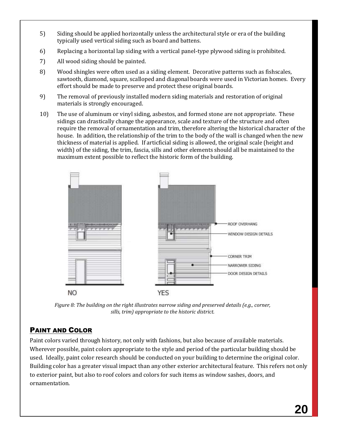- 5) Siding should be applied horizontally unless the architectural style or era of the building typically used vertical siding such as board and battens.
- 6) Replacing a horizontal lap siding with a vertical panel-type plywood siding is prohibited.
- 7) All wood siding should be painted.
- 8) Wood shingles were often used as a siding element. Decorative patterns such as fishscales, sawtooth, diamond, square, scalloped and diagonal boards were used in Victorian homes. Every effort should be made to preserve and protect these original boards.
- 9) The removal of previously installed modern siding materials and restoration of original materials is strongly encouraged.
- 10) The use of aluminum or vinyl siding, asbestos, and formed stone are not appropriate. These sidings can drastically change the appearance, scale and texture of the structure and often require the removal of ornamentation and trim, therefore altering the historical character of the house. In addition, the relationship of the trim to the body of the wall is changed when the new thickness of material is applied. If articficial siding is allowed, the original scale (height and width) of the siding, the trim, fascia, sills and other elements should all be maintained to the maximum extent possible to reflect the historic form of the building.



*Figure 8: The building on the right illustrates narrow siding and preserved details (e.g., corner, sills, trim) appropriate to the historic district.*

# PAINT AND COLOR

Paint colors varied through history, not only with fashions, but also because of available materials. Wherever possible, paint colors appropriate to the style and period of the particular building should be used. Ideally, paint color research should be conducted on your building to determine the original color. Building color has a greater visual impact than any other exterior architectural feature. This refers not only to exterior paint, but also to roof colors and colors for such items as window sashes, doors, and ornamentation.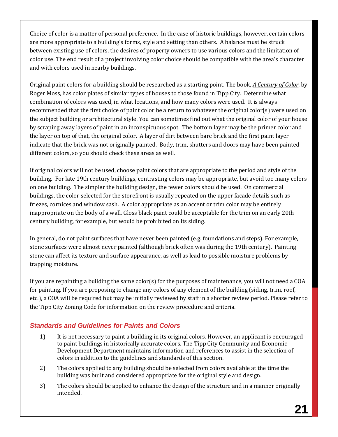Choice of color is a matter of personal preference. In the case of historic buildings, however, certain colors are more appropriate to a building's forms, style and setting than others. A balance must be struck between existing use of colors, the desires of property owners to use various colors and the limitation of color use. The end result of a project involving color choice should be compatible with the area's character and with colors used in nearby buildings.

Original paint colors for a building should be researched as a starting point. The book, *A Century of Color*, by Roger Moss, has color plates of similar types of houses to those found in Tipp City. Determine what combination of colors was used, in what locations, and how many colors were used. It is always recommended that the first choice of paint color be a return to whatever the original color(s) were used on the subject building or architectural style. You can sometimes find out what the original color of your house by scraping away layers of paint in an inconspicuous spot. The bottom layer may be the primer color and the layer on top of that, the original color. A layer of dirt between bare brick and the first paint layer indicate that the brick was not originally painted. Body, trim, shutters and doors may have been painted different colors, so you should check these areas as well.

If original colors will not be used, choose paint colors that are appropriate to the period and style of the building. For late 19th century buildings, contrasting colors may be appropriate, but avoid too many colors on one building. The simpler the building design, the fewer colors should be used. On commercial buildings, the color selected for the storefront is usually repeated on the upper facade details such as friezes, cornices and window sash. A color appropriate as an accent or trim color may be entirely inappropriate on the body of a wall. Gloss black paint could be acceptable for the trim on an early 20th century building, for example, but would be prohibited on its siding.

In general, do not paint surfaces that have never been painted (e.g. foundations and steps). For example, stone surfaces were almost never painted (although brick often was during the 19th century). Painting stone can affect its texture and surface appearance, as well as lead to possible moisture problems by trapping moisture.

If you are repainting a building the same color(s) for the purposes of maintenance, you will not need a COA for painting. If you are proposing to change any colors of any element of the building (siding, trim, roof, etc.), a COA will be required but may be initially reviewed by staff in a shorter review period. Please refer to the Tipp City Zoning Code for information on the review procedure and criteria.

# *Standards and Guidelines for Paints and Colors*

- 1) It is not necessary to paint a building in its original colors. However, an applicant is encouraged to paint buildings in historically accurate colors. The Tipp City Community and Economic Development Department maintains information and references to assist in the selection of colors in addition to the guidelines and standards of this section.
- 2) The colors applied to any building should be selected from colors available at the time the building was built and considered appropriate for the original style and design.
- 3) The colors should be applied to enhance the design of the structure and in a manner originally intended.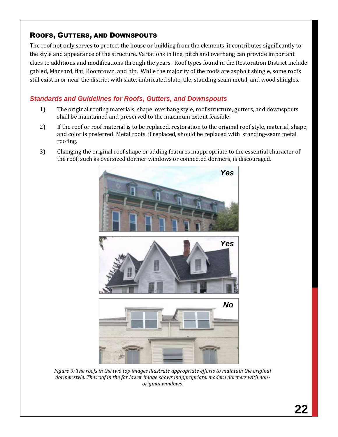# ROOFS, GUTTERS, AND DOWNSPOUTS

The roof not only serves to protect the house or building from the elements, it contributes significantly to the style and appearance of the structure. Variations in line, pitch and overhang can provide important clues to additions and modifications through the years. Roof types found in the Restoration District include gabled, Mansard, flat, Boomtown, and hip. While the majority of the roofs are asphalt shingle, some roofs still exist in or near the district with slate, imbricated slate, tile, standing seam metal, and wood shingles.

### *Standards and Guidelines for Roofs, Gutters, and Downspouts*

- 1) The original roofing materials, shape, overhang style, roof structure, gutters, and downspouts shall be maintained and preserved to the maximum extent feasible.
- 2) If the roof or roof material is to be replaced, restoration to the original roof style, material, shape, and color is preferred. Metal roofs, if replaced, should be replaced with standing-seam metal roofing.
- 3) Changing the original roof shape or adding features inappropriate to the essential character of the roof, such as oversized dormer windows or connected dormers, is discouraged.



*Figure 9: The roofs in the two top images illustrate appropriate efforts to maintain the original dormer style. The roof in the far lower image shows inappropriate, modern dormers with nonoriginal windows.*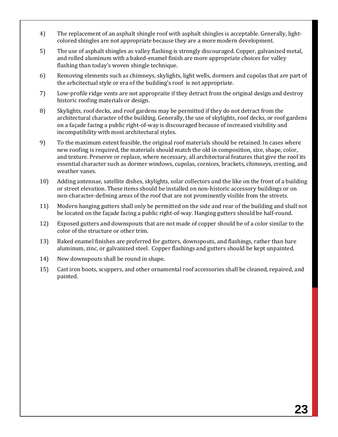- 4) The replacement of an asphalt shingle roof with asphalt shingles is acceptable. Generally, lightcolored shingles are not appropriate because they are a more modern development.
- 5) The use of asphalt shingles as valley flashing is strongly discouraged. Copper, galvanized metal, and rolled aluminum with a baked-enamel finish are more appropriate choices for valley flashing than today's woven shingle technique.
- 6) Removing elements such as chimneys, skylights, light wells, dormers and cupolas that are part of the arhcitectual style or era of the building's roof is not appropriate.
- 7) Low-profile ridge vents are not appropraite if they detract from the original design and destroy historic roofing materials or design.
- 8) Skylights, roof decks, and roof gardens may be permitted if they do not detract from the architectural character of the building. Generally, the use of skylights, roof decks, or roof gardens on a façade facing a public right-of-way is discouraged because of increased visibility and incompatibility with most architectural styles.
- 9) To the maximum extent feasible, the original roof materials should be retained. In cases where new roofing is required, the materials should match the old in composition, size, shape, color, and texture. Preserve or replace, where necessary, all architectural features that give the roof its essential character such as dormer windows, cupolas, cornices, brackets, chimneys, cresting, and weather vanes.
- 10) Adding antennae, satellite dishes, skylights, solar collectors and the like on the front of a building or street elevation. These items should be installed on non-historic accessory buildings or on non-character-defining areas of the roof that are not prominently visible from the streets.
- 11) Modern hanging gutters shall only be permitted on the side and rear of the building and shall not be located on the façade facing a public right-of-way. Hanging gutters should be half-round.
- 12) Exposed gutters and downspouts that are not made of copper should be of a color similar to the color of the structure or other trim.
- 13) Baked enamel finishes are preferred for gutters, downspouts, and flashings, rather than bare aluminum, zinc, or galvanized steel. Copper flashings and gutters should be kept unpainted.
- 14) New downspouts shall be round in shape.
- 15) Cast iron boots, scuppers, and other ornamental roof accessories shall be cleaned, repaired, and painted.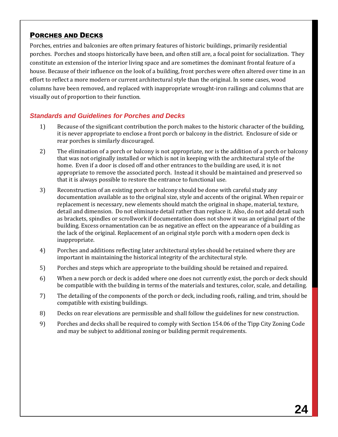### PORCHES AND DECKS

Porches, entries and balconies are often primary features of historic buildings, primarily residential porches. Porches and stoops historically have been, and often still are, a focal point for socialization. They constitute an extension of the interior living space and are sometimes the dominant frontal feature of a house. Because of their influence on the look of a building, front porches were often altered over time in an effort to reflect a more modern or current architectural style than the original. In some cases, wood columns have been removed, and replaced with inappropriate wrought-iron railings and columns that are visually out of proportion to their function.

### *Standards and Guidelines for Porches and Decks*

- 1) Because of the significant contribution the porch makes to the historic character of the building, it is never appropriate to enclose a front porch or balcony in the district. Enclosure of side or rear porches is similarly discouraged.
- 2) The elimination of a porch or balcony is not appropriate, nor is the addition of a porch or balcony that was not originally installed or which is not in keeping with the architectural style of the home. Even if a door is closed off and other entrances to the building are used, it is not appropriate to remove the associated porch. Instead it should be maintained and preserved so that it is always possible to restore the entrance to functional use.
- 3) Reconstruction of an existing porch or balcony should be done with careful study any documentation available as to the original size, style and accents of the original. When repair or replacement is necessary, new elements should match the original in shape, material, texture, detail and dimension. Do not eliminate detail rather than replace it. Also, do not add detail such as brackets, spindles or scrollwork if documentation does not show it was an original part of the building. Excess ornamentation can be as negative an effect on the appearance of a building as the lack of the original. Replacement of an original style porch with a modern open deck is inappropriate.
- 4) Porches and additions reflecting later architectural styles should be retained where they are important in maintaining the historical integrity of the architectural style.
- 5) Porches and steps which are appropriate to the building should be retained and repaired.
- 6) When a new porch or deck is added where one does not currently exist, the porch or deck should be compatible with the building in terms of the materials and textures, color, scale, and detailing.
- 7) The detailing of the components of the porch or deck, including roofs, railing, and trim, should be compatible with existing buildings.
- 8) Decks on rear elevations are permissible and shall follow the guidelines for new construction.
- 9) Porches and decks shall be required to comply with Section 154.06 of the Tipp City Zoning Code and may be subject to additional zoning or building permit requirements.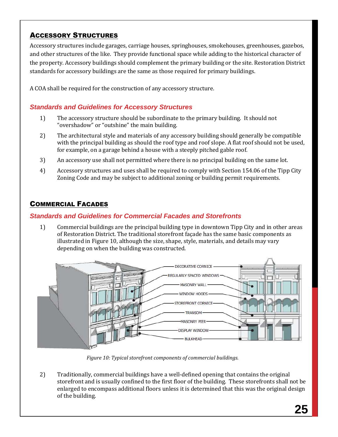# ACCESSORY STRUCTURES

Accessory structures include garages, carriage houses, springhouses, smokehouses, greenhouses, gazebos, and other structures of the like. They provide functional space while adding to the historical character of the property. Accessory buildings should complement the primary building or the site. Restoration District standards for accessory buildings are the same as those required for primary buildings.

A COA shall be required for the construction of any accessory structure.

### *Standards and Guidelines for Accessory Structures*

- 1) The accessory structure should be subordinate to the primary building. It should not "overshadow" or "outshine" the main building.
- 2) The architectural style and materials of any accessory building should generally be compatible with the principal building as should the roof type and roof slope. A flat roof should not be used, for example, on a garage behind a house with a steeply pitched gable roof.
- 3) An accessory use shall not permitted where there is no principal building on the same lot.
- 4) Accessory structures and uses shall be required to comply with Section 154.06 of the Tipp City Zoning Code and may be subject to additional zoning or building permit requirements.

# COMMERCIAL FACADES

#### *Standards and Guidelines for Commercial Facades and Storefronts*

1) Commercial buildings are the principal building type in downtown Tipp City and in other areas of Restoration District. The traditional storefront façade has the same basic components as illustrated in [Figure 10,](#page-25-0) although the size, shape, style, materials, and details may vary depending on when the building was constructed.



*Figure 10: Typical storefront components of commercial buildings.*

<span id="page-25-0"></span>2) Traditionally, commercial buildings have a well-defined opening that contains the original storefront and is usually confined to the first floor of the building. These storefronts shall not be enlarged to encompass additional floors unless it is determined that this was the original design of the building.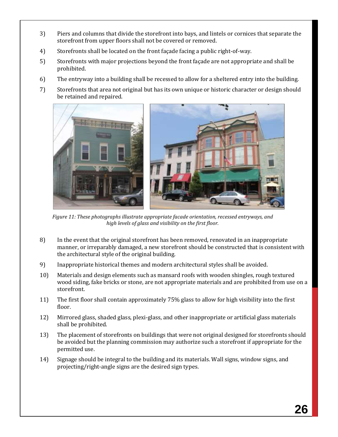- 3) Piers and columns that divide the storefront into bays, and lintels or cornices that separate the storefront from upper floors shall not be covered or removed.
- 4) Storefronts shall be located on the front façade facing a public right-of-way.
- 5) Storefronts with major projections beyond the front façade are not appropriate and shall be prohibited.
- 6) The entryway into a building shall be recessed to allow for a sheltered entry into the building.
- 7) Storefronts that area not original but has its own unique or historic character or design should be retained and repaired.



*Figure 11: These photographs illustrate appropriate facade orientation, recessed entryways, and high levels of glass and visibility on the first floor.*

- 8) In the event that the original storefront has been removed, renovated in an inappropriate manner, or irreparably damaged, a new storefront should be constructed that is consistent with the architectural style of the original building.
- 9) Inappropriate historical themes and modern architectural styles shall be avoided.
- 10) Materials and design elements such as mansard roofs with wooden shingles, rough textured wood siding, fake bricks or stone, are not appropriate materials and are prohibited from use on a storefront.
- 11) The first floor shall contain approximately 75% glass to allow for high visibility into the first floor.
- 12) Mirrored glass, shaded glass, plexi-glass, and other inappropriate or artificial glass materials shall be prohibited.
- 13) The placement of storefronts on buildings that were not original designed for storefronts should be avoided but the planning commission may authorize such a storefront if appropriate for the permitted use.
- 14) Signage should be integral to the building and its materials. Wall signs, window signs, and projecting/right-angle signs are the desired sign types.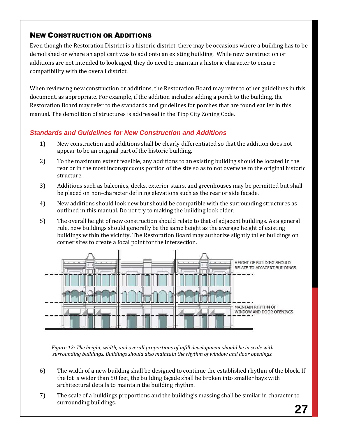# NEW CONSTRUCTION OR ADDITIONS

Even though the Restoration District is a historic district, there may be occasions where a building has to be demolished or where an applicant was to add onto an existing building. While new construction or additions are not intended to look aged, they do need to maintain a historic character to ensure compatibility with the overall district.

When reviewing new construction or additions, the Restoration Board may refer to other guidelines in this document, as appropriate. For example, if the addition includes adding a porch to the building, the Restoration Board may refer to the standards and guidelines for porches that are found earlier in this manual. The demolition of structures is addressed in the Tipp City Zoning Code.

# *Standards and Guidelines for New Construction and Additions*

- 1) New construction and additions shall be clearly differentiated so that the addition does not appear to be an original part of the historic building.
- 2) To the maximum extent feasible, any additions to an existing building should be located in the rear or in the most inconspicuous portion of the site so as to not overwhelm the original historic structure.
- 3) Additions such as balconies, decks, exterior stairs, and greenhouses may be permitted but shall be placed on non-character defining elevations such as the rear or side façade.
- 4) New additions should look new but should be compatible with the surrounding structures as outlined in this manual. Do not try to making the building look older;
- 5) The overall height of new construction should relate to that of adjacent buildings. As a general rule, new buildings should generally be the same height as the average height of existing buildings within the vicinity. The Restoration Board may authorize slightly taller buildings on corner sites to create a focal point for the intersection.



*Figure 12: The height, width, and overall proportions of infill development should be in scale with surrounding buildings. Buildings should also maintain the rhythm of window and door openings.*

- 6) The width of a new building shall be designed to continue the established rhythm of the block. If the lot is wider than 50 feet, the building façade shall be broken into smaller bays with architectural details to maintain the building rhythm.
- 7) The scale of a buildings proportions and the building's massing shall be similar in character to surrounding buildings.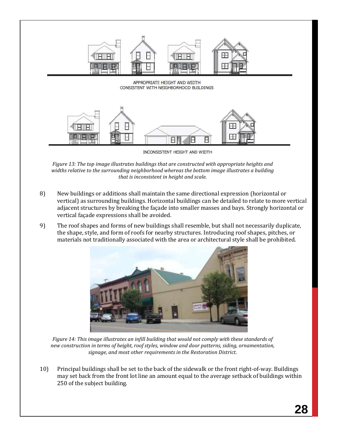

*Figure 13: The top image illustrates buildings that are constructed with appropriate heights and widths relative to the surrounding neighborhood whereas the bottom image illustrates a building that is inconsistent in height and scale.*

- 8) New buildings or additions shall maintain the same directional expression (horizontal or vertical) as surrounding buildings. Horizontal buildings can be detailed to relate to more vertical adjacent structures by breaking the façade into smaller masses and bays. Strongly horizontal or vertical façade expressions shall be avoided.
- 9) The roof shapes and forms of new buildings shall resemble, but shall not necessarily duplicate, the shape, style, and form of roofs for nearby structures. Introducing roof shapes, pitches, or materials not traditionally associated with the area or architectural style shall be prohibited.



*Figure 14: This image illustrates an infill building that would not comply with these standards of new construction in terms of height, roof styles, window and door patterns, siding, ornamentation, signage, and most other requirements in the Restoration District.*

10) Principal buildings shall be set to the back of the sidewalk or the front right-of-way. Buildings may set back from the front lot line an amount equal to the average setback of buildings within 250 of the subject building.